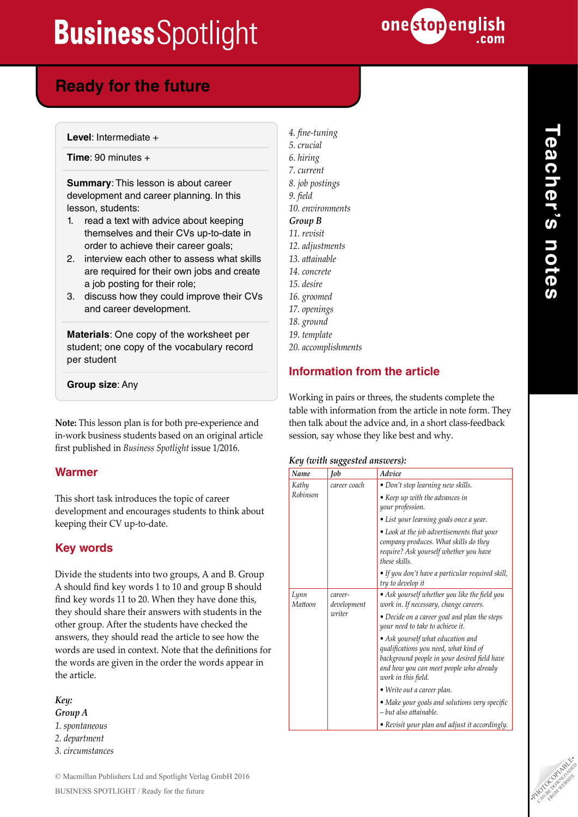

### **Ready for the future**

**Level**: Intermediate +

**Time**: 90 minutes +

**Summary**: This lesson is about career development and career planning. In this lesson, students:

- 1. read a text with advice about keeping themselves and their CVs up-to-date in order to achieve their career goals;
- 2. interview each other to assess what skills are required for their own jobs and create a job posting for their role;
- 3. discuss how they could improve their CVs and career development.

**Materials**: One copy of the worksheet per student; one copy of the vocabulary record per student

### **Group size**: Any

**Note:** This lesson plan is for both pre-experience and in-work business students based on an original article first published in *Business Spotlight* issue 1/2016.

### **Warmer**

This short task introduces the topic of career development and encourages students to think about keeping their CV up-to-date.

### **Key words**

Divide the students into two groups, A and B. Group A should find key words 1 to 10 and group B should find key words 11 to 20. When they have done this, they should share their answers with students in the other group. After the students have checked the answers, they should read the article to see how the words are used in context. Note that the definitions for the words are given in the order the words appear in the article.

*Key: Group A 1. spontaneous 2. department 3. circumstances* *4. fine-tuning 5. crucial 6. hiring 7. current 8. job postings 9. field 10. environments Group B 11. revisit 12. adjustments 13. attainable 14. concrete 15. desire 16. groomed 17. openings 18. ground 19. template*

*20. accomplishments*

### **Information from the article**

Working in pairs or threes, the students complete the table with information from the article in note form. They then talk about the advice and, in a short class-feedback session, say whose they like best and why.

#### *Key (with suggested answers):*

| Name            | Job                    | Advice                                                                                                                                                                                       |
|-----------------|------------------------|----------------------------------------------------------------------------------------------------------------------------------------------------------------------------------------------|
| Kathy           | career coach           | • Don't stop learning new skills.                                                                                                                                                            |
| Robinson        |                        | • Keep up with the advances in<br>your profession.                                                                                                                                           |
|                 |                        | • List your learning goals once a year.                                                                                                                                                      |
|                 |                        | • Look at the job advertisements that your<br>company produces. What skills do they<br>require? Ask yourself whether you have<br>these skills.                                               |
|                 |                        | • If you don't have a particular required skill,<br>try to develop it                                                                                                                        |
| Lynn<br>Mattoon | career-<br>development | • Ask yourself whether you like the field you<br>work in. If necessary, change careers.                                                                                                      |
|                 | writer                 | • Decide on a career goal and plan the steps<br>your need to take to achieve it.                                                                                                             |
|                 |                        | • Ask yourself what education and<br>qualifications you need, what kind of<br>background people in your desired field have<br>and how you can meet people who already<br>work in this field. |
|                 |                        | • Write out a career plan.                                                                                                                                                                   |
|                 |                        | • Make your goals and solutions very specific<br>– but also attainable.                                                                                                                      |
|                 |                        | • Revisit your plan and adjust it accordingly.                                                                                                                                               |

**Teacher's notes** Teacher's notes

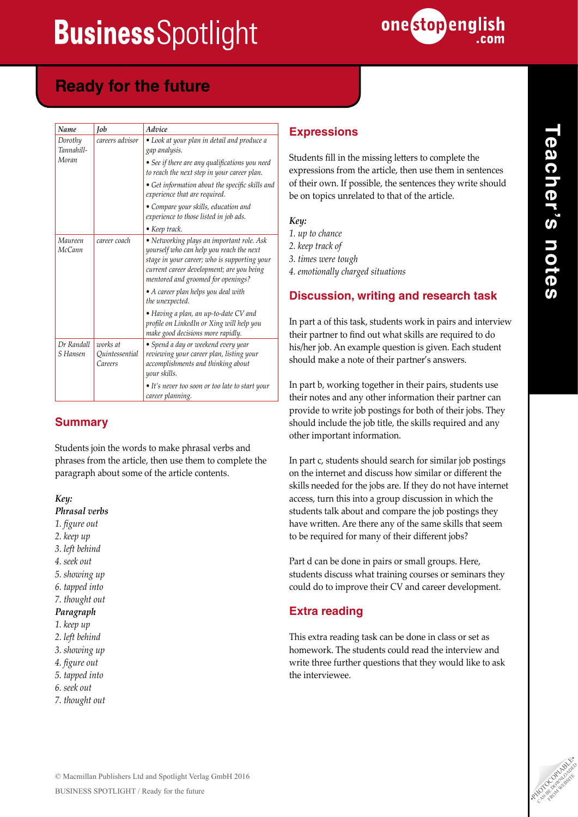

## **Ready for the future**

| Name                   | <b>Job</b>                                                 | Advice                                                                                                                                                                                                                   |
|------------------------|------------------------------------------------------------|--------------------------------------------------------------------------------------------------------------------------------------------------------------------------------------------------------------------------|
| Dorothy<br>Tannahill-  | careers advisor                                            | • Look at your plan in detail and produce a<br>gap analysis.                                                                                                                                                             |
| Moran                  |                                                            | • See if there are any qualifications you need<br>to reach the next step in your career plan.                                                                                                                            |
|                        |                                                            | • Get information about the specific skills and<br>experience that are required.                                                                                                                                         |
|                        |                                                            | • Compare your skills, education and<br>experience to those listed in job ads.                                                                                                                                           |
|                        |                                                            | • Keep track.                                                                                                                                                                                                            |
| Maureen<br>McCann      | career coach                                               | • Networking plays an important role. Ask<br>yourself who can help you reach the next<br>stage in your career; who is supporting your<br>current career development; are you being<br>mentored and groomed for openings? |
|                        |                                                            | • A career plan helps you deal with<br>the unexpected.                                                                                                                                                                   |
|                        |                                                            | • Having a plan, an up-to-date CV and<br>profile on LinkedIn or Xing will help you<br>make good decisions more rapidly.                                                                                                  |
| Dr Randall<br>S Hansen | works at<br><i><u><b>Ouintessential</b></u></i><br>Careers | • Spend a day or weekend every year<br>reviewing your career plan, listing your<br>accomplishments and thinking about<br>your skills.                                                                                    |
|                        |                                                            | • It's never too soon or too late to start your<br>career planning.                                                                                                                                                      |

### **Summary**

Students join the words to make phrasal verbs and phrases from the article, then use them to complete the paragraph about some of the article contents.

*Key:*

*Phrasal verbs*

*1. figure out*

*2. keep up*

- *3. left behind*
- *4. seek out*
- *5. showing up*
- *6. tapped into*
- *7. thought out*

#### *Paragraph*

- *1. keep up*
- *2. left behind*
- *3. showing up*
- *4. figure out*
- *5. tapped into*
- *6. seek out*
- *7. thought out*

### **Expressions**

Students fill in the missing letters to complete the expressions from the article, then use them in sentences of their own. If possible, the sentences they write should be on topics unrelated to that of the article.

| Key: |                     |  |  |
|------|---------------------|--|--|
|      | 1. up to chance     |  |  |
|      | 2. keep track of    |  |  |
|      | 3. times were tough |  |  |

*4. emotionally charged situations* 

### **Discussion, writing and research task**

In part a of this task, students work in pairs and interview their partner to find out what skills are required to do his/her job. An example question is given. Each student should make a note of their partner's answers.

In part b, working together in their pairs, students use their notes and any other information their partner can provide to write job postings for both of their jobs. They should include the job title, the skills required and any other important information.

In part c, students should search for similar job postings on the internet and discuss how similar or different the skills needed for the jobs are. If they do not have internet access, turn this into a group discussion in which the students talk about and compare the job postings they have written. Are there any of the same skills that seem to be required for many of their different jobs?

Part d can be done in pairs or small groups. Here, students discuss what training courses or seminars they could do to improve their CV and career development.

### **Extra reading**

This extra reading task can be done in class or set as homework. The students could read the interview and write three further questions that they would like to ask the interviewee.

**Teacher's notes**

Teacher's notes

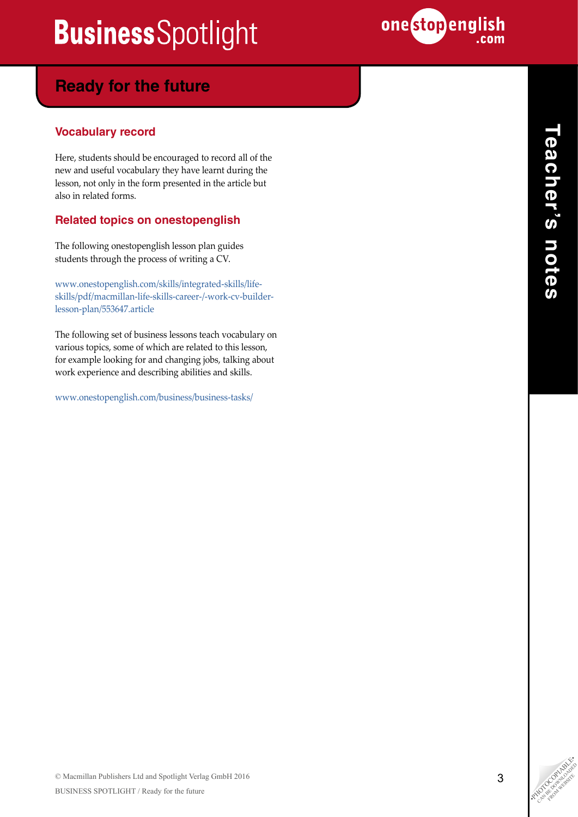

### **Ready for the future**

### **Vocabulary record**

Here, students should be encouraged to record all of the new and useful vocabulary they have learnt during the lesson, not only in the form presented in the article but also in related forms.

### **Related topics on onestopenglish**

The following onestopenglish lesson plan guides students through the process of writing a CV.

[www.onestopenglish.com/skills/integrated-skills/life](http://www.onestopenglish.com/skills/integrated-skills/life-skills/pdf/macmillan-life-skills-career-/-work-cv-builder-lesson-plan/553647.article)[skills/pdf/macmillan-life-skills-career-/-work-cv-builder](http://www.onestopenglish.com/skills/integrated-skills/life-skills/pdf/macmillan-life-skills-career-/-work-cv-builder-lesson-plan/553647.article)[lesson-plan/553647.article](http://www.onestopenglish.com/skills/integrated-skills/life-skills/pdf/macmillan-life-skills-career-/-work-cv-builder-lesson-plan/553647.article) 

The following set of business lessons teach vocabulary on various topics, some of which are related to this lesson, for example looking for and changing jobs, talking about work experience and describing abilities and skills.

[www.onestopenglish.com/business/business-tasks/](http://www.onestopenglish.com/business/business-tasks/)

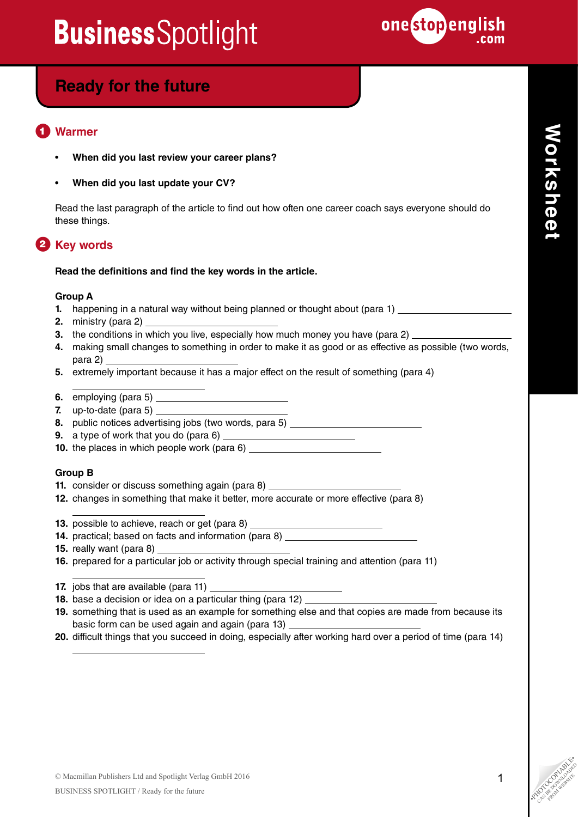

### **Ready for the future**

#### **Warmer** 1

- **When did you last review your career plans?**
- **When did you last update your CV?**

Read the last paragraph of the article to find out how often one career coach says everyone should do these things.

### **2** Key words

#### **Read the definitions and find the key words in the article.**

#### **Group A**

- **1.** happening in a natural way without being planned or thought about (para 1) \_\_\_\_\_\_\_\_\_\_\_\_\_\_\_\_\_\_\_\_\_\_\_\_\_\_\_\_\_\_\_\_\_
- **2.** ministry (para 2)
- **3.** the conditions in which you live, especially how much money you have (para 2)
- **4.** making small changes to something in order to make it as good or as effective as possible (two words, para 2)
- **5.** extremely important because it has a major effect on the result of something (para 4)
- **6.** employing (para 5)
- **7.** up-to-date (para 5)
- **8.** public notices advertising jobs (two words, para 5)
- **9.** a type of work that you do (para 6)
- **10.** the places in which people work (para 6)

#### **Group B**

 $\overline{a}$ 

 $\overline{a}$ 

 $\overline{a}$ 

 $\overline{a}$ 

- **11.** consider or discuss something again (para 8)
- **12.** changes in something that make it better, more accurate or more effective (para 8)
- **13.** possible to achieve, reach or get (para 8)
- **14.** practical; based on facts and information (para 8)
- **15.** really want (para 8)
- **16.** prepared for a particular job or activity through special training and attention (para 11)
- **17.** jobs that are available (para 11)
- **18.** base a decision or idea on a particular thing (para 12)
- **19.** something that is used as an example for something else and that copies are made from because its basic form can be used again and again (para 13)
- **20.** difficult things that you succeed in doing, especially after working hard over a period of time (para 14)

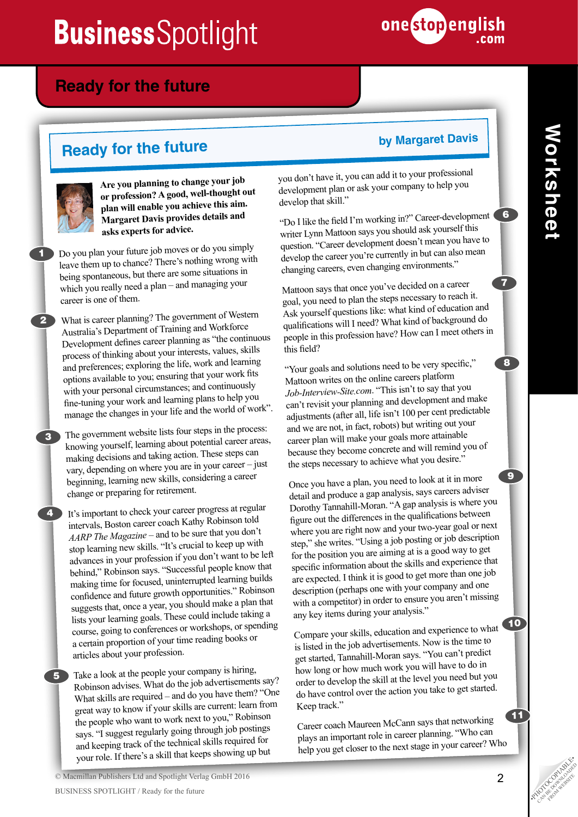

### **Ready for the future**

# **Ready for the future by Margaret Davis**



2

3

4

5

1

**Are you planning to change your job or profession? A good, well-thought out plan will enable you achieve this aim. Margaret Davis provides details and asks experts for advice.**

Do you plan your future job moves or do you simply leave them up to chance? There's nothing wrong with being spontaneous, but there are some situations in which you really need a plan – and managing your career is one of them.

What is career planning? The government of Western Australia's Department of Training and Workforce Development defines career planning as "the continuous process of thinking about your interests, values, skills and preferences; exploring the life, work and learning options available to you; ensuring that your work fits with your personal circumstances; and continuously fine-tuning your work and learning plans to help you manage the changes in your life and the world of work".

The government website lists four steps in the process: knowing yourself, learning about potential career areas, making decisions and taking action. These steps can vary, depending on where you are in your career – just beginning, learning new skills, considering a career change or preparing for retirement.

It's important to check your career progress at regular intervals, Boston career coach Kathy Robinson told *AARP The Magazine* – and to be sure that you don't stop learning new skills. "It's crucial to keep up with advances in your profession if you don't want to be left behind," Robinson says. "Successful people know that making time for focused, uninterrupted learning builds confidence and future growth opportunities." Robinson suggests that, once a year, you should make a plan that lists your learning goals. These could include taking a course, going to conferences or workshops, or spending a certain proportion of your time reading books or articles about your profession.

Take a look at the people your company is hiring, Robinson advises. What do the job advertisements say? What skills are required – and do you have them? "One great way to know if your skills are current: learn from the people who want to work next to you," Robinson says. "I suggest regularly going through job postings and keeping track of the technical skills required for your role. If there's a skill that keeps showing up but

you don't have it, you can add it to your professional development plan or ask your company to help you develop that skill."

"Do I like the field I'm working in?" Career-development writer Lynn Mattoon says you should ask yourself this question. "Career development doesn't mean you have to develop the career you're currently in but can also mean changing careers, even changing environments."

Mattoon says that once you've decided on a career goal, you need to plan the steps necessary to reach it. Ask yourself questions like: what kind of education and qualifications will I need? What kind of background do people in this profession have? How can I meet others in this field?

"Your goals and solutions need to be very specific," Mattoon writes on the online careers platform *Job-Interview-Site.com*. "This isn't to say that you can't revisit your planning and development and make adjustments (after all, life isn't 100 per cent predictable and we are not, in fact, robots) but writing out your career plan will make your goals more attainable because they become concrete and will remind you of the steps necessary to achieve what you desire."

Once you have a plan, you need to look at it in more detail and produce a gap analysis, says careers adviser Dorothy Tannahill-Moran. "A gap analysis is where you figure out the differences in the qualifications between where you are right now and your two-year goal or next step," she writes. "Using a job posting or job description for the position you are aiming at is a good way to get specific information about the skills and experience that are expected. I think it is good to get more than one job description (perhaps one with your company and one with a competitor) in order to ensure you aren't missing any key items during your analysis."

Compare your skills, education and experience to what is listed in the job advertisements. Now is the time to get started, Tannahill-Moran says. "You can't predict how long or how much work you will have to do in order to develop the skill at the level you need but you do have control over the action you take to get started. Keep track."

Career coach Maureen McCann says that networking plays an important role in career planning. "Who can help you get closer to the next stage in your career? Who

7

 $\mathbf{8}$ 

9

10

11

6

© Macmillan Publishers Ltd and Spotlight Verlag GmbH 2016 BUSINESS SPOTLIGHT / Ready for the future •PHOTOCOPIABLE •PHOTOCOPIA SUSTAINERS SPOTLIGHT / Ready for the future •PHOTOCOPIA DUST •PHOTOCOPIA SUSTAINERS SPOTLIGHT / Ready for the future •PHOTOCOPIA DUST •PHOTOCOPIA DUST •P

CAN BE DOWNLOAD FROM WEBSITE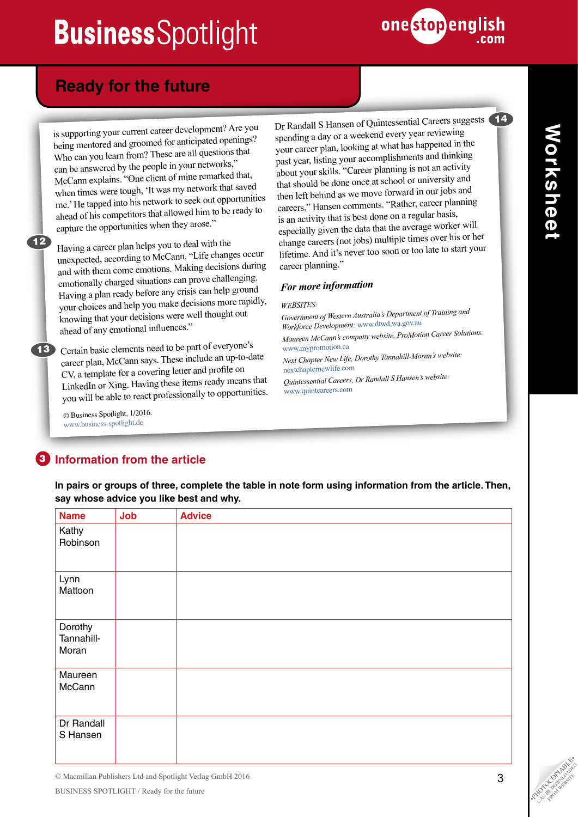

### **Ready for the future**

is supporting your current career development? Are you being mentored and groomed for anticipated openings? Who can you learn from? These are all questions that can be answered by the people in your networks," McCann explains. "One client of mine remarked that, when times were tough, 'It was my network that saved me.' He tapped into his network to seek out opportunities ahead of his competitors that allowed him to be ready to capture the opportunities when they arose."

Having a career plan helps you to deal with the unexpected, according to McCann. "Life changes occur and with them come emotions. Making decisions during emotionally charged situations can prove challenging. Having a plan ready before any crisis can help ground your choices and help you make decisions more rapidly, knowing that your decisions were well thought out ahead of any emotional influences."

13 Certain basic elements need to be part of everyone's career plan, McCann says. These include an up-to-date CV, a template for a covering letter and profile on LinkedIn or Xing. Having these items ready means that you will be able to react professionally to opportunities.

> © Business Spotlight, 1/2016. [www.business-spotlight.de](http://www.business-spotlight.de)

12

Dr Randall S Hansen of Quintessential Careers suggests spending a day or a weekend every year reviewing your career plan, looking at what has happened in the past year, listing your accomplishments and thinking about your skills. "Career planning is not an activity that should be done once at school or university and then left behind as we move forward in our jobs and careers," Hansen comments. "Rather, career planning is an activity that is best done on a regular basis, especially given the data that the average worker will change careers (not jobs) multiple times over his or her lifetime. And it's never too soon or too late to start your career planning."

### *For more information*

*WEBSITES:* 

*Government of Western Australia's Department of Training an<sup>d</sup> Workforce Development:* [www.dtwd.wa.gov.au](http://www.dtwd.wa.gov.au) 

*Maureen McCann's company website, ProMotion Career Solutions:*  [www.mypromo](http://www.mypromotion.ca)tion.ca

*Next Chapter New Life, Dorothy Tannahill-Moran's website:*  [nextchapternewlife.com](http://nextchapternewlife.com)

*Quintessential Careers, Dr Randall S Hansen's website:*  [www.quintcareers.com](http://www.quintcareers.com) 

### **3** Information from the article

**In pairs or groups of three, complete the table in note form using information from the article. Then, say whose advice you like best and why.**

| <b>Name</b>                    | Job | <b>Advice</b> |
|--------------------------------|-----|---------------|
| Kathy<br>Robinson              |     |               |
| Lynn<br>Mattoon                |     |               |
| Dorothy<br>Tannahill-<br>Moran |     |               |
| Maureen<br>McCann              |     |               |
| Dr Randall<br>S Hansen         |     |               |

14

© Macmillan Publishers Ltd and Spotlight Verlag GmbH 2016 BUSINESS SPOTLIGHT / Ready for the future •PHOTOCOPIAS COPIAL COPINSORS SPOTLIGHT / Ready for the future •PHOTOCOPIAS COPING COPING COPING COPING COPING COPING COPING COPING COPING COPING COPING COPING COPING COPING COPING

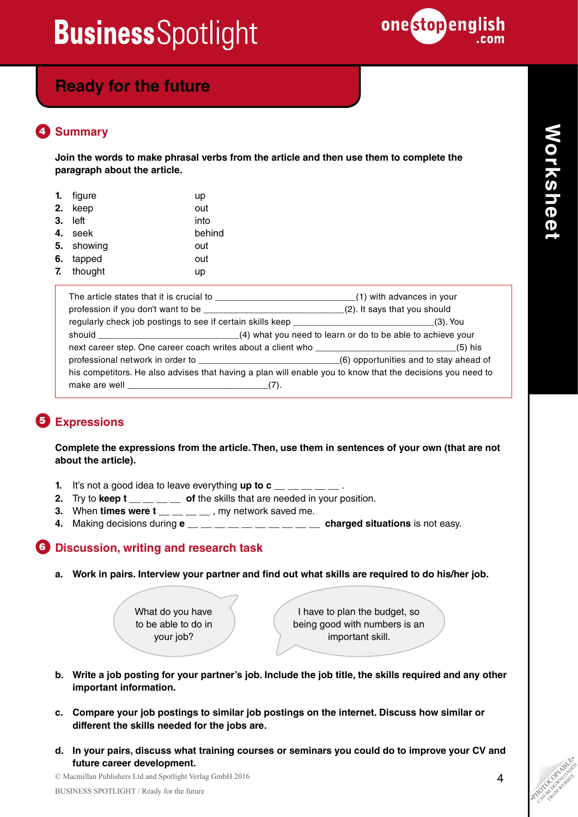

## **Ready for the future**

#### **Summary** 4

**Join the words to make phrasal verbs from the article and then use them to complete the paragraph about the article.**

| 1. | figure     | up     |
|----|------------|--------|
| 2. | keep       | out    |
| 3. | left       | into   |
| 4. | seek       | behind |
|    | 5. showing | out    |
|    | 6. tapped  | out    |
|    | 7. thought | up     |

| The article states that it is crucial to __________________________________(1) with advances in your       |  |  |  |
|------------------------------------------------------------------------------------------------------------|--|--|--|
| profession if you don't want to be ________________________________(2). It says that you should            |  |  |  |
| regularly check job postings to see if certain skills keep _________________________________(3). You       |  |  |  |
|                                                                                                            |  |  |  |
|                                                                                                            |  |  |  |
|                                                                                                            |  |  |  |
| his competitors. He also advises that having a plan will enable you to know that the decisions you need to |  |  |  |
|                                                                                                            |  |  |  |

### **Expressions** 5

**Complete the expressions from the article. Then, use them in sentences of your own (that are not about the article).**

- **1.** It's not a good idea to leave everything up to  $c_$  \_\_ \_ \_
- **2.** Try to **keep t** \_\_ \_ \_ \_ of the skills that are needed in your position.
- **3.** When **times were**  $t = 1$ **,**  $t = 1$ **, my network saved me.**
- **4.** Making decisions during  $e_1 = 1$ ,  $e_2 = 1$ ,  $e_3 = 1$ ,  $e_4 = 1$ ,  $e_5 = 1$ ,  $e_6 = 1$  at the easy.

### **6** Discussion, writing and research task

**a. Work in pairs. Interview your partner and find out what skills are required to do his/her job.**

What do you have to be able to do in your job?

I have to plan the budget, so being good with numbers is an important skill.

- **b. Write a job posting for your partner's job. Include the job title, the skills required and any other important information.**
- **c. Compare your job postings to similar job postings on the internet. Discuss how similar or different the skills needed for the jobs are.**
- **Future career development.**<br>
© Macmillan Publishers Ltd and Spotlight Verlag GmbH 2016<br>
BUSINESS SPOTLIGHT / Ready for the future<br>
PHOTOCOPIA COPIABLE •PHOTOCOPIA COPIABLE •PHOTOCOPIA COPIABLE •PHOTOCOPIA COPIABLE •PHOTOC **d. In your pairs, discuss what training courses or seminars you could do to improve your CV and future career development.**

© Macmillan Publishers Ltd and Spotlight Verlag GmbH 2016

CAN BE DOWNLOAD FROM WEBSITE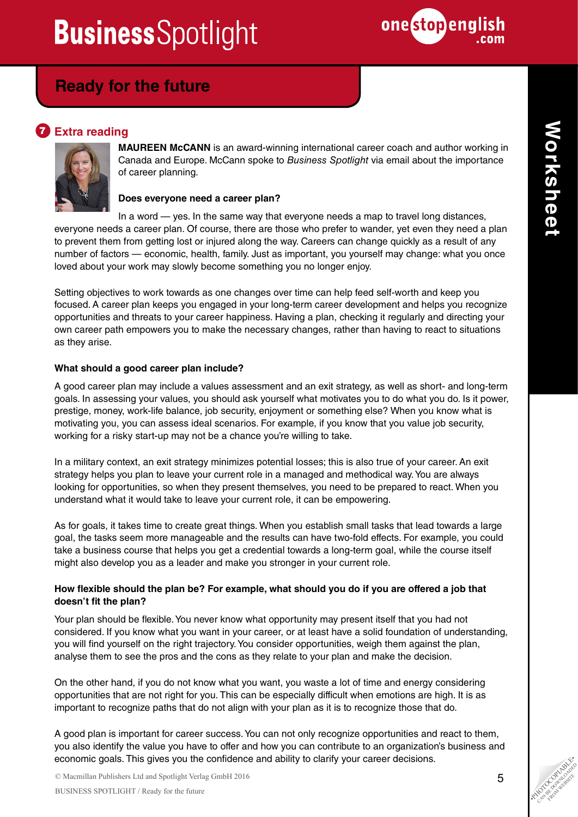

### **Ready for the future**

### **Z** Extra reading



**MAUREEN McCANN** is an award-winning international career coach and author working in Canada and Europe. McCann spoke to *Business Spotlight* via email about the importance of career planning.

### **Does everyone need a career plan?**

In a word  $-$  yes. In the same way that everyone needs a map to travel long distances, everyone needs a career plan. Of course, there are those who prefer to wander, yet even they need a plan to prevent them from getting lost or injured along the way. Careers can change quickly as a result of any number of factors — economic, health, family. Just as important, you yourself may change: what you once loved about your work may slowly become something you no longer enjoy.

Setting objectives to work towards as one changes over time can help feed self-worth and keep you focused. A career plan keeps you engaged in your long-term career development and helps you recognize opportunities and threats to your career happiness. Having a plan, checking it regularly and directing your own career path empowers you to make the necessary changes, rather than having to react to situations as they arise.

### **What should a good career plan include?**

A good career plan may include a values assessment and an exit strategy, as well as short- and long-term goals. In assessing your values, you should ask yourself what motivates you to do what you do. Is it power, prestige, money, work-life balance, job security, enjoyment or something else? When you know what is motivating you, you can assess ideal scenarios. For example, if you know that you value job security, working for a risky start-up may not be a chance you're willing to take.

In a military context, an exit strategy minimizes potential losses; this is also true of your career. An exit strategy helps you plan to leave your current role in a managed and methodical way. You are always looking for opportunities, so when they present themselves, you need to be prepared to react. When you understand what it would take to leave your current role, it can be empowering.

As for goals, it takes time to create great things. When you establish small tasks that lead towards a large goal, the tasks seem more manageable and the results can have two-fold effects. For example, you could take a business course that helps you get a credential towards a long-term goal, while the course itself might also develop you as a leader and make you stronger in your current role.

### **How flexible should the plan be? For example, what should you do if you are offered a job that doesn't fit the plan?**

Your plan should be flexible. You never know what opportunity may present itself that you had not considered. If you know what you want in your career, or at least have a solid foundation of understanding, you will find yourself on the right trajectory. You consider opportunities, weigh them against the plan, analyse them to see the pros and the cons as they relate to your plan and make the decision.

On the other hand, if you do not know what you want, you waste a lot of time and energy considering opportunities that are not right for you. This can be especially difficult when emotions are high. It is as important to recognize paths that do not align with your plan as it is to recognize those that do.

A good plan is important for career success. You can not only recognize opportunities and react to them, you also identify the value you have to offer and how you can contribute to an organization's business and